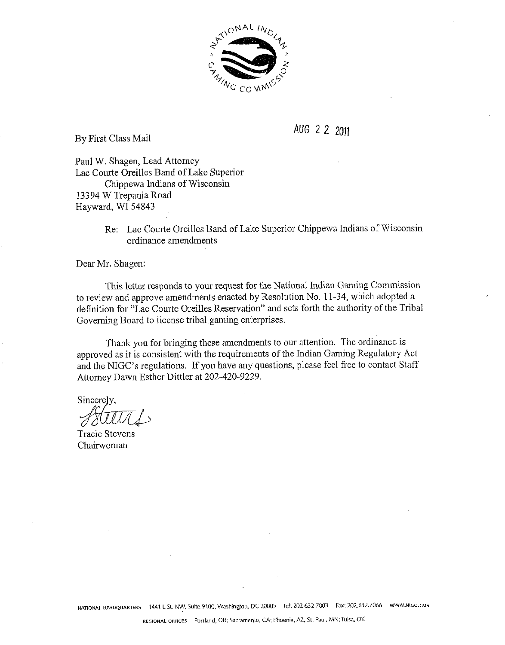

By First Class Mail

AUG 2 2 2011

Paul W. Shagen, Lead Attomey Lac Courte Oreilles Band of Lake Superior Chippewa Indians of Wisconsin 13394 W Trepania Road Hayward, WI 54843

> Re: Lac Courte Oreilles Band of Lake Superior Chippewa Indians of Wisconsin ordinance amendments

Dear Mr. Shagen:

This letter responds to your request for the National Indian Gaming Commission to review and approve amendments enacted by Resolution No. 11-34, which adopted a definition for "Lac Courte Oreilles Reservation" and sets forth the authority of the Tribal Governing Board to license tribal gaming enterprises.

Thank you for bringing these amendments to our attention. The ordinance is approved as it is consistent with the requirements of the Indian Gaming Regulatory Act and the NIGC's regulations. If you have any questions, please feel free to contact Staff Attomey Dawn Esther Dittler at 202-420-9229.

Sincerely,

Tracie Stevens Chairwoman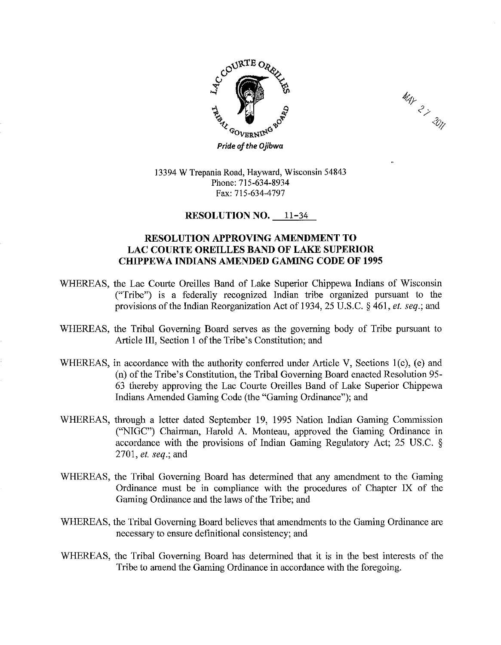



13394 W Trepania Road, Hayward, Wisconsin 54843 Phone: 715-634-8934 Fax: 715-634-4797

## **RESOLUTION NO. 11-34**

## **RESOLUTION APPROVING AMENDMENT TO LAC COURTE OREILLES BAND OF LAKE SUPERIOR CHIPPEWA INDIANS AMENDED GAMING CODE OF 1995**

- WHEREAS, the Lac Courte Oreilles Band of Lake Superior Chippewa Indians of Wisconsin ("Tribe") is a federally recognized Indian tribe organized pursuant to the provisions of the Indian Reorganization Act of 1934,25 U.S.C. *5* 461, el. seq.; and
- WHEREAS, the Tribal Governing Board serves as the governing body of Tribe pursuant to Article 111, Section 1 of the Tribe's Constitution; and
- WHEREAS, in accordance with the authority conferred under Article V, Sections l(c), (e) and (n) of the Tribe's Constitution, the Tribal Governing Board enacted Resolution 95- 63 thereby approving the Lac Courte Oreilles Band of Lake Superior Chippewa Indians Amended Gaming Code (the "Gaming Ordinance"); and
- WHEREAS, through a letter dated September 19, 1995 Nation Indian Gaming Commission ("NIGC") Chairman, Harold A. Monteau, approved the Gaming Ordinance in accordance with the provisions of Indian Gaming Regulatory Act; 25 US.C. § 2701, et. seq.; and
- WHEREAS, the Tribal Governing Board has determined that any amendment to the Gaming Ordinance must be in compliance with the procedures of Chapter IX of the Gaming Ordinance and the laws of the Tribe; and
- WHEREAS, the Tribal Governing Board believes that amendments to the Gaming Ordinance are necessary to ensure definitional consistency; and
- WHEREAS, the Tribal Governing Board has determined that it is in the best interests of the Tribe to amend the Gaming Ordinance in accordance with the foregoing.